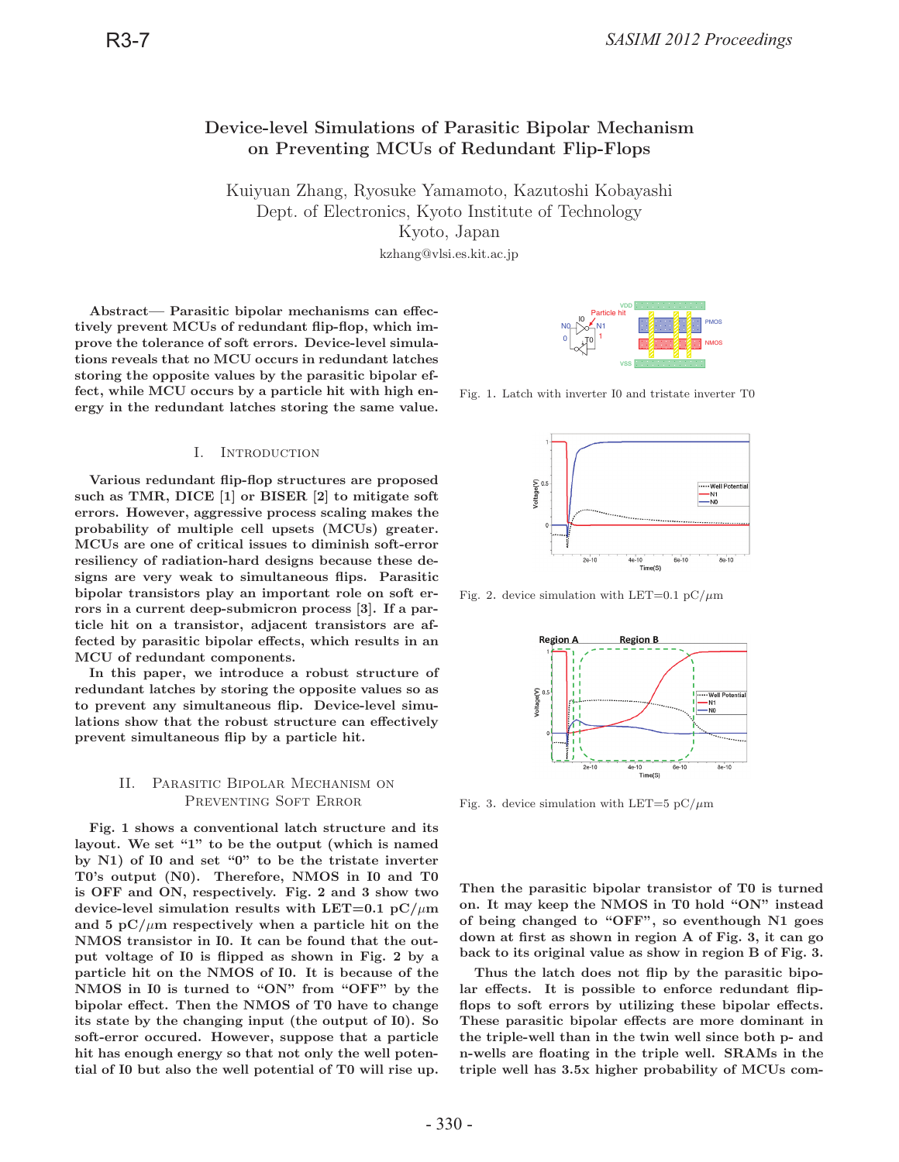# **Device-level Simulations of Parasitic Bipolar Mechanism on Preventing MCUs of Redundant Flip-Flops**

Kuiyuan Zhang, Ryosuke Yamamoto, Kazutoshi Kobayashi Kyoto, Japan

kzhang@vlsi.es.kit.ac.jp  $k = 1, 2, 3, \ldots$ 

**Abstract— Parasitic bipolar mechanisms can effectively prevent MCUs of redundant flip-flop, which improve the tolerance of soft errors. Device-level simulations reveals that no MCU occurs in redundant latches storing the opposite values by the parasitic bipolar effect, while MCU occurs by a particle hit with high energy in the redundant latches storing the same value.**

### I. Introduction

**Various redundant flip-flop structures are proposed such as TMR, DICE [1] or BISER [2] to mitigate soft errors. However, aggressive process scaling makes the probability of multiple cell upsets (MCUs) greater. MCUs are one of critical issues to diminish soft-error resiliency of radiation-hard designs because these designs are very weak to simultaneous flips. Parasitic bipolar transistors play an important role on soft errors in a current deep-submicron process [3]. If a particle hit on a transistor, adjacent transistors are affected by parasitic bipolar effects, which results in an MCU of redundant components.**

**In this paper, we introduce a robust structure of redundant latches by storing the opposite values so as to prevent any simultaneous flip. Device-level simulations show that the robust structure can effectively prevent simultaneous flip by a particle hit.**

## II. Parasitic Bipolar Mechanism on PREVENTING SOFT ERROR

**Fig. 1 shows a conventional latch structure and its layout. We set "1" to be the output (which is named by N1) of I0 and set "0" to be the tristate inverter T0's output (N0). Therefore, NMOS in I0 and T0 is OFF and ON, respectively. Fig. 2 and 3 show two** device-level simulation results with LET=0.1  $pC/\mu m$ and 5  $pC/\mu m$  respectively when a particle hit on the **NMOS transistor in I0. It can be found that the output voltage of I0 is flipped as shown in Fig. 2 by a particle hit on the NMOS of I0. It is because of the NMOS in I0 is turned to "ON" from "OFF" by the bipolar effect. Then the NMOS of T0 have to change its state by the changing input (the output of I0). So soft-error occured. However, suppose that a particle hit has enough energy so that not only the well potential of I0 but also the well potential of T0 will rise up.**



Fig. 1. Latch with inverter I0 and tristate inverter T0



Fig. 2. device simulation with LET=0.1 pC/ $\mu$ m



Fig. 3. device simulation with LET=5 pC/ $\mu$ m

**Then the parasitic bipolar transistor of T0 is turned on. It may keep the NMOS in T0 hold "ON" instead of being changed to "OFF", so eventhough N1 goes down at first as shown in region A of Fig. 3, it can go back to its original value as show in region B of Fig. 3.**

**Thus the latch does not flip by the parasitic bipolar effects. It is possible to enforce redundant flipflops to soft errors by utilizing these bipolar effects. These parasitic bipolar effects are more dominant in the triple-well than in the twin well since both p- and n-wells are floating in the triple well. SRAMs in the triple well has 3.5x higher probability of MCUs com-**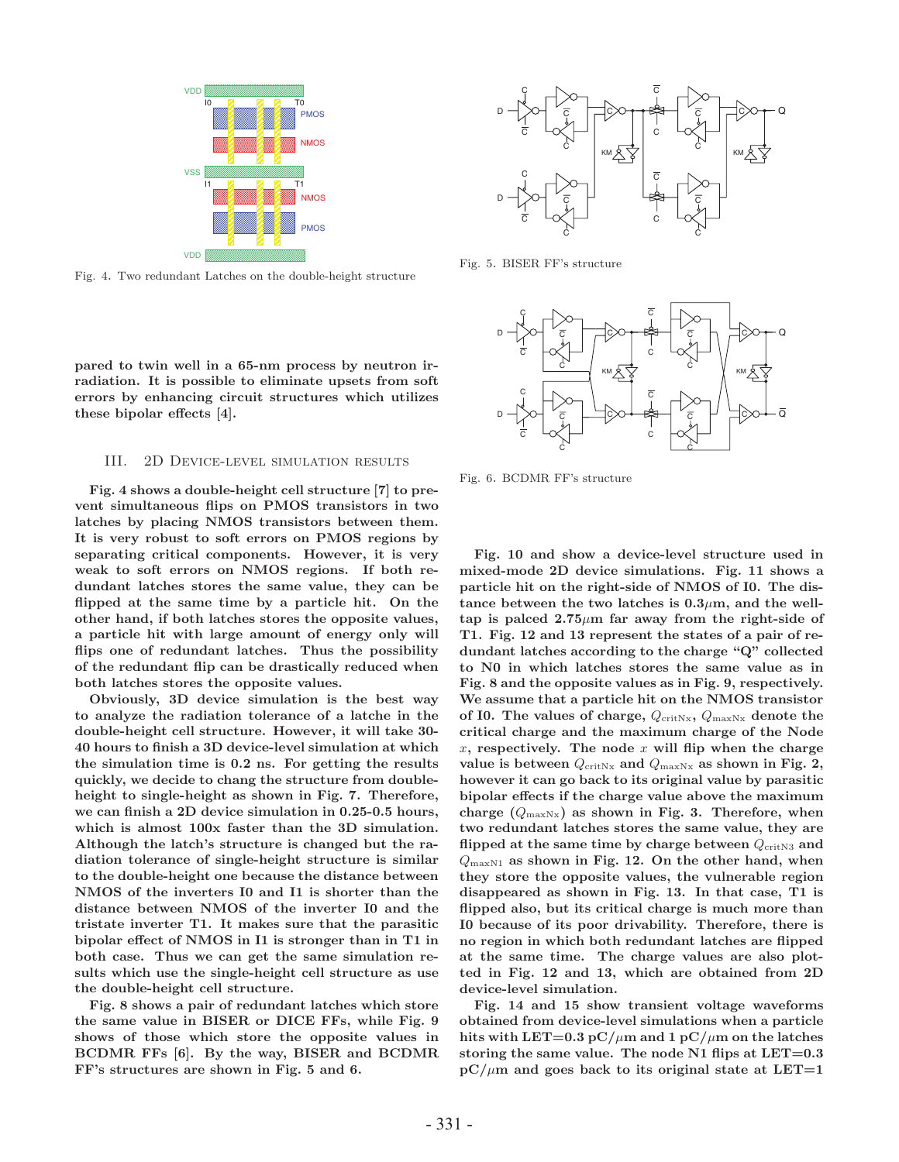

Fig. 4. Two redundant Latches on the double-height structure

**pared to twin well in a 65-nm process by neutron irradiation. It is possible to eliminate upsets from soft errors by enhancing circuit structures which utilizes these bipolar effects [4].**

## III. 2D Device-level simulation results

**Fig. 4 shows a double-height cell structure [7] to prevent simultaneous flips on PMOS transistors in two latches by placing NMOS transistors between them. It is very robust to soft errors on PMOS regions by separating critical components. However, it is very weak to soft errors on NMOS regions. If both redundant latches stores the same value, they can be flipped at the same time by a particle hit. On the other hand, if both latches stores the opposite values, a particle hit with large amount of energy only will flips one of redundant latches. Thus the possibility of the redundant flip can be drastically reduced when both latches stores the opposite values.**

**Obviously, 3D device simulation is the best way to analyze the radiation tolerance of a latche in the double-height cell structure. However, it will take 30- 40 hours to finish a 3D device-level simulation at which the simulation time is 0.2 ns. For getting the results quickly, we decide to chang the structure from doubleheight to single-height as shown in Fig. 7. Therefore, we can finish a 2D device simulation in 0.25-0.5 hours, which is almost 100x faster than the 3D simulation. Although the latch's structure is changed but the radiation tolerance of single-height structure is similar to the double-height one because the distance between NMOS of the inverters I0 and I1 is shorter than the distance between NMOS of the inverter I0 and the tristate inverter T1. It makes sure that the parasitic bipolar effect of NMOS in I1 is stronger than in T1 in both case. Thus we can get the same simulation results which use the single-height cell structure as use the double-height cell structure.**

**Fig. 8 shows a pair of redundant latches which store the same value in BISER or DICE FFs, while Fig. 9 shows of those which store the opposite values in BCDMR FFs [6]. By the way, BISER and BCDMR FF's structures are shown in Fig. 5 and 6.**



Fig. 5. BISER FF's structure



Fig. 6. BCDMR FF's structure

**Fig. 10 and show a device-level structure used in mixed-mode 2D device simulations. Fig. 11 shows a particle hit on the right-side of NMOS of I0. The dis**tance between the two latches is  $0.3\mu$ m, and the well**tap is palced 2.75**μ**m far away from the right-side of T1. Fig. 12 and 13 represent the states of a pair of redundant latches according to the charge "Q" collected to N0 in which latches stores the same value as in Fig. 8 and the opposite values as in Fig. 9, respectively. We assume that a particle hit on the NMOS transistor** of I0. The values of charge,  $Q_{\text{critNx}}, Q_{\text{maxNx}}$  denote the **critical charge and the maximum charge of the Node** x**, respectively. The node** x **will flip when the charge** value is between  $Q_{\text{crit}Nx}$  and  $Q_{\text{max}Nx}$  as shown in Fig. 2, **however it can go back to its original value by parasitic bipolar effects if the charge value above the maximum charge (**QmaxNx**) as shown in Fig. 3. Therefore, when two redundant latches stores the same value, they are** flipped at the same time by charge between  $Q_{\text{crit},N3}$  and QmaxN1 **as shown in Fig. 12. On the other hand, when they store the opposite values, the vulnerable region disappeared as shown in Fig. 13. In that case, T1 is flipped also, but its critical charge is much more than I0 because of its poor drivability. Therefore, there is no region in which both redundant latches are flipped at the same time. The charge values are also plotted in Fig. 12 and 13, which are obtained from 2D device-level simulation.**

**Fig. 14 and 15 show transient voltage waveforms obtained from device-level simulations when a particle** hits with LET=0.3  $pC/\mu m$  and 1  $pC/\mu m$  on the latches **storing the same value. The node N1 flips at LET=0.3**  $pC/\mu m$  and goes back to its original state at LET=1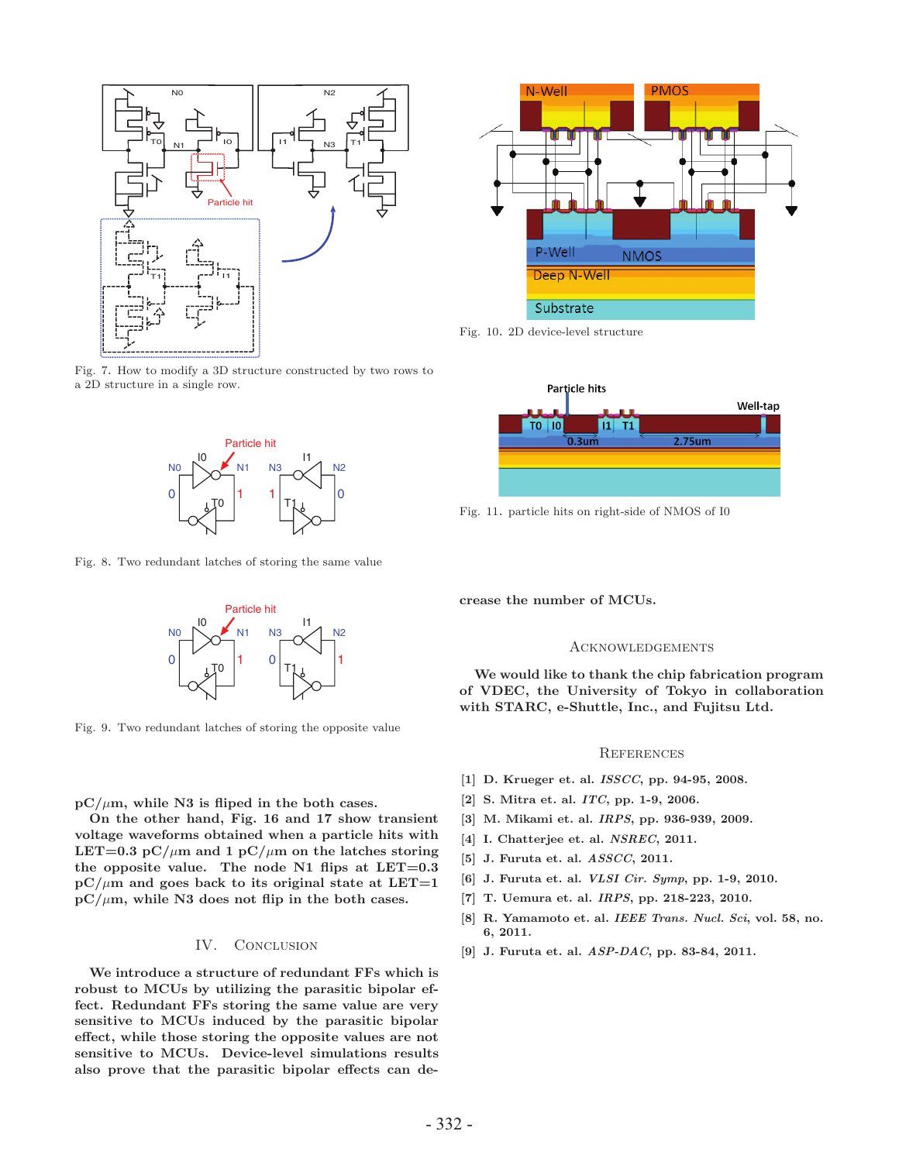

Fig. 7. How to modify a 3D structure constructed by two rows to a 2D structure in a single row.



Fig. 8. Two redundant latches of storing the same value



Fig. 9. Two redundant latches of storing the opposite value

**pC/**μ**m, while N3 is fliped in the both cases.**

**On the other hand, Fig. 16 and 17 show transient voltage waveforms obtained when a particle hits with LET=0.3** pC/ $\mu$ m and 1 pC/ $\mu$ m on the latches storing **the opposite value. The node N1 flips at LET=0.3**  $pC/\mu m$  and goes back to its original state at LET=1  $pC/\mu m$ , while N3 does not flip in the both cases.

#### IV. CONCLUSION

**We introduce a structure of redundant FFs which is robust to MCUs by utilizing the parasitic bipolar effect. Redundant FFs storing the same value are very sensitive to MCUs induced by the parasitic bipolar effect, while those storing the opposite values are not sensitive to MCUs. Device-level simulations results also prove that the parasitic bipolar effects can de-**



Fig. 10. 2D device-level structure



Fig. 11. particle hits on right-side of NMOS of I0

**crease the number of MCUs.**

#### **ACKNOWLEDGEMENTS**

**We would like to thank the chip fabrication program of VDEC, the University of Tokyo in collaboration with STARC, e-Shuttle, Inc., and Fujitsu Ltd.**

#### **REFERENCES**

- **[1] D. Krueger et. al.** *ISSCC***, pp. 94-95, 2008.**
- **[2] S. Mitra et. al.** *ITC***, pp. 1-9, 2006.**
- **[3] M. Mikami et. al.** *IRPS***, pp. 936-939, 2009.**
- **[4] I. Chatterjee et. al.** *NSREC***, 2011.**
- **[5] J. Furuta et. al.** *ASSCC***, 2011.**
- **[6] J. Furuta et. al.** *VLSI Cir. Symp***, pp. 1-9, 2010.**
- **[7] T. Uemura et. al.** *IRPS***, pp. 218-223, 2010.**
- **[8] R. Yamamoto et. al.** *IEEE Trans. Nucl. Sci***, vol. 58, no.**
- **6, 2011. [9] J. Furuta et. al.** *ASP-DAC***, pp. 83-84, 2011.**